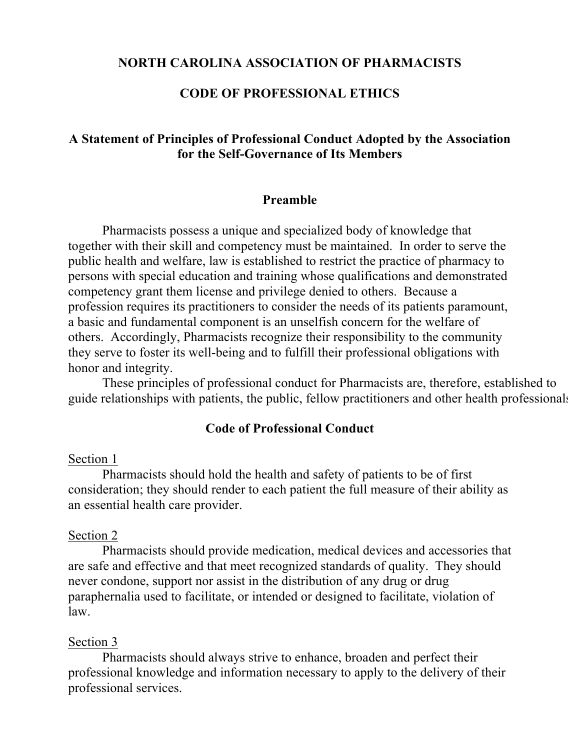#### **NORTH CAROLINA ASSOCIATION OF PHARMACISTS**

## **CODE OF PROFESSIONAL ETHICS**

## **A Statement of Principles of Professional Conduct Adopted by the Association for the Self-Governance of Its Members**

#### **Preamble**

Pharmacists possess a unique and specialized body of knowledge that together with their skill and competency must be maintained. In order to serve the public health and welfare, law is established to restrict the practice of pharmacy to persons with special education and training whose qualifications and demonstrated competency grant them license and privilege denied to others. Because a profession requires its practitioners to consider the needs of its patients paramount, a basic and fundamental component is an unselfish concern for the welfare of others. Accordingly, Pharmacists recognize their responsibility to the community they serve to foster its well-being and to fulfill their professional obligations with honor and integrity.

These principles of professional conduct for Pharmacists are, therefore, established to guide relationships with patients, the public, fellow practitioners and other health professionals.

### **Code of Professional Conduct**

#### Section 1

Pharmacists should hold the health and safety of patients to be of first consideration; they should render to each patient the full measure of their ability as an essential health care provider.

#### Section 2

Pharmacists should provide medication, medical devices and accessories that are safe and effective and that meet recognized standards of quality. They should never condone, support nor assist in the distribution of any drug or drug paraphernalia used to facilitate, or intended or designed to facilitate, violation of law.

#### Section 3

Pharmacists should always strive to enhance, broaden and perfect their professional knowledge and information necessary to apply to the delivery of their professional services.